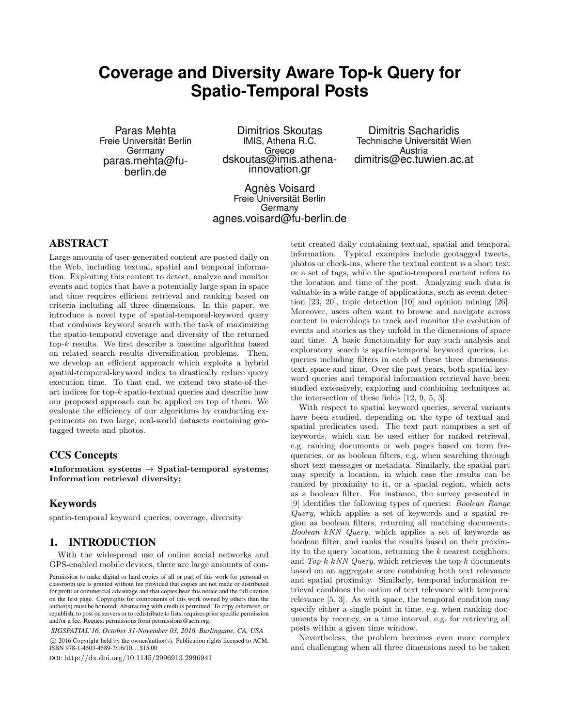# **Coverage and Diversity Aware Top-k Query for Spatio-Temporal Posts**

Paras Mehta Freie Universität Berlin Germany paras.mehta@fuberlin.de

Dimitrios Skoutas IMIS, Athena R.C. Greece dskoutas@imis.athenainnovation.gr

Dimitris Sacharidis Technische Universität Wien Austria dimitris@ec.tuwien.ac.at

Agnès Voisard Freie Universität Berlin Germany agnes.voisard@fu-berlin.de

# ABSTRACT

Large amounts of user-generated content are posted daily on the Web, including textual, spatial and temporal information. Exploiting this content to detect, analyze and monitor events and topics that have a potentially large span in space and time requires efficient retrieval and ranking based on criteria including all three dimensions. In this paper, we introduce a novel type of spatial-temporal-keyword query that combines keyword search with the task of maximizing the spatio-temporal coverage and diversity of the returned top- $k$  results. We first describe a baseline algorithm based on related search results diversification problems. Then, we develop an efficient approach which exploits a hybrid spatial-temporal-keyword index to drastically reduce query execution time. To that end, we extend two state-of-theart indices for top-k spatio-textual queries and describe how our proposed approach can be applied on top of them. We evaluate the efficiency of our algorithms by conducting experiments on two large, real-world datasets containing geotagged tweets and photos.

# CCS Concepts

•Information systems  $\rightarrow$  Spatial-temporal systems; Information retrieval diversity;

# Keywords

spatio-temporal keyword queries, coverage, diversity

# 1. INTRODUCTION

With the widespread use of online social networks and GPS-enabled mobile devices, there are large amounts of con-

*SIGSPATIAL'16, October 31-November 03, 2016, Burlingame, CA, USA* c 2016 Copyright held by the owner/author(s). Publication rights licensed to ACM. ISBN 978-1-4503-4589-7/16/10. . . \$15.00

DOI: http://dx.doi.org/10.1145/2996913.2996941

tent created daily containing textual, spatial and temporal information. Typical examples include geotagged tweets, photos or check-ins, where the textual content is a short text or a set of tags, while the spatio-temporal content refers to the location and time of the post. Analyzing such data is valuable in a wide range of applications, such as event detection [23, 20], topic detection [10] and opinion mining [26]. Moreover, users often want to browse and navigate across content in microblogs to track and monitor the evolution of events and stories as they unfold in the dimensions of space and time. A basic functionality for any such analysis and exploratory search is spatio-temporal keyword queries, i.e. queries including filters in each of these three dimensions: text, space and time. Over the past years, both spatial keyword queries and temporal information retrieval have been studied extensively, exploring and combining techniques at the intersection of these fields [12, 9, 5, 3].

With respect to spatial keyword queries, several variants have been studied, depending on the type of textual and spatial predicates used. The text part comprises a set of keywords, which can be used either for ranked retrieval, e.g. ranking documents or web pages based on term frequencies, or as boolean filters, e.g. when searching through short text messages or metadata. Similarly, the spatial part may specify a location, in which case the results can be ranked by proximity to it, or a spatial region, which acts as a boolean filter. For instance, the survey presented in [9] identifies the following types of queries: Boolean Range Query, which applies a set of keywords and a spatial region as boolean filters, returning all matching documents; Boolean kNN Query, which applies a set of keywords as boolean filter, and ranks the results based on their proximity to the query location, returning the  $k$  nearest neighbors; and  $Top-k$  kNN  $Query$ , which retrieves the top- $k$  documents based on an aggregate score combining both text relevance and spatial proximity. Similarly, temporal information retrieval combines the notion of text relevance with temporal relevance [5, 3]. As with space, the temporal condition may specify either a single point in time, e.g. when ranking documents by recency, or a time interval, e.g. for retrieving all posts within a given time window.

Nevertheless, the problem becomes even more complex and challenging when all three dimensions need to be taken

Permission to make digital or hard copies of all or part of this work for personal or classroom use is granted without fee provided that copies are not made or distributed for profit or commercial advantage and that copies bear this notice and the full citation on the first page. Copyrights for components of this work owned by others than the author(s) must be honored. Abstracting with credit is permitted. To copy otherwise, or republish, to post on servers or to redistribute to lists, requires prior specific permission and/or a fee. Request permissions from permissions@acm.org.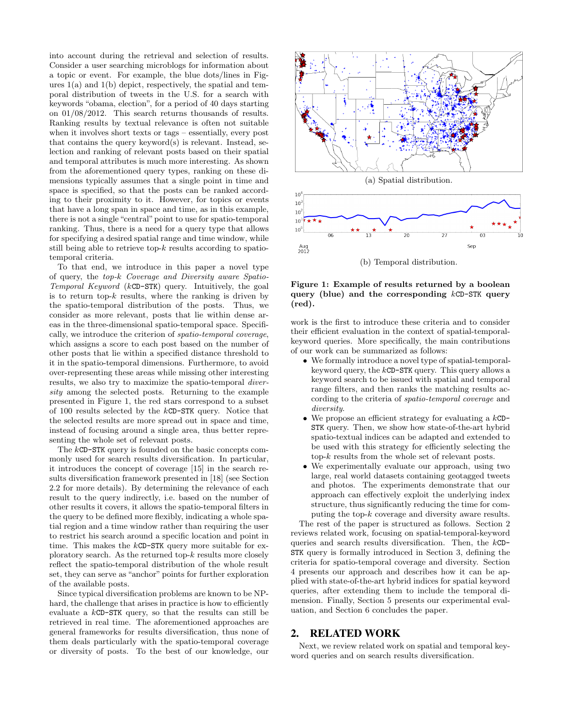into account during the retrieval and selection of results. Consider a user searching microblogs for information about a topic or event. For example, the blue dots/lines in Figures 1(a) and 1(b) depict, respectively, the spatial and temporal distribution of tweets in the U.S. for a search with keywords "obama, election", for a period of 40 days starting on 01/08/2012. This search returns thousands of results. Ranking results by textual relevance is often not suitable when it involves short texts or tags – essentially, every post that contains the query keyword(s) is relevant. Instead, selection and ranking of relevant posts based on their spatial and temporal attributes is much more interesting. As shown from the aforementioned query types, ranking on these dimensions typically assumes that a single point in time and space is specified, so that the posts can be ranked according to their proximity to it. However, for topics or events that have a long span in space and time, as in this example, there is not a single "central" point to use for spatio-temporal ranking. Thus, there is a need for a query type that allows for specifying a desired spatial range and time window, while still being able to retrieve top- $k$  results according to spatiotemporal criteria.

To that end, we introduce in this paper a novel type of query, the top-k Coverage and Diversity aware Spatio-Temporal Keyword (kCD-STK) query. Intuitively, the goal is to return top- $k$  results, where the ranking is driven by the spatio-temporal distribution of the posts. Thus, we consider as more relevant, posts that lie within dense areas in the three-dimensional spatio-temporal space. Specifically, we introduce the criterion of spatio-temporal coverage, which assigns a score to each post based on the number of other posts that lie within a specified distance threshold to it in the spatio-temporal dimensions. Furthermore, to avoid over-representing these areas while missing other interesting results, we also try to maximize the spatio-temporal diversity among the selected posts. Returning to the example presented in Figure 1, the red stars correspond to a subset of 100 results selected by the kCD-STK query. Notice that the selected results are more spread out in space and time, instead of focusing around a single area, thus better representing the whole set of relevant posts.

The kCD-STK query is founded on the basic concepts commonly used for search results diversification. In particular, it introduces the concept of coverage [15] in the search results diversification framework presented in [18] (see Section 2.2 for more details). By determining the relevance of each result to the query indirectly, i.e. based on the number of other results it covers, it allows the spatio-temporal filters in the query to be defined more flexibly, indicating a whole spatial region and a time window rather than requiring the user to restrict his search around a specific location and point in time. This makes the kCD-STK query more suitable for exploratory search. As the returned top- $k$  results more closely reflect the spatio-temporal distribution of the whole result set, they can serve as "anchor" points for further exploration of the available posts.

Since typical diversification problems are known to be NPhard, the challenge that arises in practice is how to efficiently evaluate a kCD-STK query, so that the results can still be retrieved in real time. The aforementioned approaches are general frameworks for results diversification, thus none of them deals particularly with the spatio-temporal coverage or diversity of posts. To the best of our knowledge, our



Figure 1: Example of results returned by a boolean query (blue) and the corresponding  $kCD-STK$  query (red).

work is the first to introduce these criteria and to consider their efficient evaluation in the context of spatial-temporalkeyword queries. More specifically, the main contributions of our work can be summarized as follows:

- We formally introduce a novel type of spatial-temporalkeyword query, the kCD-STK query. This query allows a keyword search to be issued with spatial and temporal range filters, and then ranks the matching results according to the criteria of spatio-temporal coverage and diversity.
- We propose an efficient strategy for evaluating a kCD-STK query. Then, we show how state-of-the-art hybrid spatio-textual indices can be adapted and extended to be used with this strategy for efficiently selecting the top-k results from the whole set of relevant posts.
- We experimentally evaluate our approach, using two large, real world datasets containing geotagged tweets and photos. The experiments demonstrate that our approach can effectively exploit the underlying index structure, thus significantly reducing the time for computing the top-k coverage and diversity aware results.

The rest of the paper is structured as follows. Section 2 reviews related work, focusing on spatial-temporal-keyword queries and search results diversification. Then, the kCD-STK query is formally introduced in Section 3, defining the criteria for spatio-temporal coverage and diversity. Section 4 presents our approach and describes how it can be applied with state-of-the-art hybrid indices for spatial keyword queries, after extending them to include the temporal dimension. Finally, Section 5 presents our experimental evaluation, and Section 6 concludes the paper.

## 2. RELATED WORK

Next, we review related work on spatial and temporal keyword queries and on search results diversification.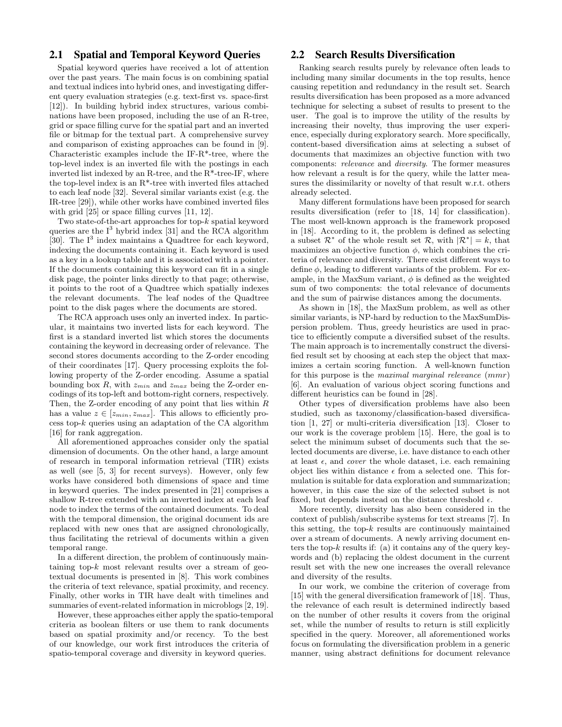# 2.1 Spatial and Temporal Keyword Queries

Spatial keyword queries have received a lot of attention over the past years. The main focus is on combining spatial and textual indices into hybrid ones, and investigating different query evaluation strategies (e.g. text-first vs. space-first [12]). In building hybrid index structures, various combinations have been proposed, including the use of an R-tree, grid or space filling curve for the spatial part and an inverted file or bitmap for the textual part. A comprehensive survey and comparison of existing approaches can be found in [9]. Characteristic examples include the IF-R\*-tree, where the top-level index is an inverted file with the postings in each inverted list indexed by an R-tree, and the  $R^*$ -tree-IF, where the top-level index is an R\*-tree with inverted files attached to each leaf node [32]. Several similar variants exist (e.g. the IR-tree [29]), while other works have combined inverted files with grid [25] or space filling curves [11, 12].

Two state-of-the-art approaches for top-k spatial keyword queries are the  $I<sup>3</sup>$  hybrid index [31] and the RCA algorithm [30]. The  $I<sup>3</sup>$  index maintains a Quadtree for each keyword, indexing the documents containing it. Each keyword is used as a key in a lookup table and it is associated with a pointer. If the documents containing this keyword can fit in a single disk page, the pointer links directly to that page; otherwise, it points to the root of a Quadtree which spatially indexes the relevant documents. The leaf nodes of the Quadtree point to the disk pages where the documents are stored.

The RCA approach uses only an inverted index. In particular, it maintains two inverted lists for each keyword. The first is a standard inverted list which stores the documents containing the keyword in decreasing order of relevance. The second stores documents according to the Z-order encoding of their coordinates [17]. Query processing exploits the following property of the Z-order encoding. Assume a spatial bounding box R, with  $z_{min}$  and  $z_{max}$  being the Z-order encodings of its top-left and bottom-right corners, respectively. Then, the Z-order encoding of any point that lies within  $R$ has a value  $z \in [z_{min}, z_{max}]$ . This allows to efficiently process top- $k$  queries using an adaptation of the CA algorithm [16] for rank aggregation.

All aforementioned approaches consider only the spatial dimension of documents. On the other hand, a large amount of research in temporal information retrieval (TIR) exists as well (see [5, 3] for recent surveys). However, only few works have considered both dimensions of space and time in keyword queries. The index presented in [21] comprises a shallow R-tree extended with an inverted index at each leaf node to index the terms of the contained documents. To deal with the temporal dimension, the original document ids are replaced with new ones that are assigned chronologically, thus facilitating the retrieval of documents within a given temporal range.

In a different direction, the problem of continuously maintaining top- $k$  most relevant results over a stream of geotextual documents is presented in [8]. This work combines the criteria of text relevance, spatial proximity, and recency. Finally, other works in TIR have dealt with timelines and summaries of event-related information in microblogs [2, 19].

However, these approaches either apply the spatio-temporal criteria as boolean filters or use them to rank documents based on spatial proximity and/or recency. To the best of our knowledge, our work first introduces the criteria of spatio-temporal coverage and diversity in keyword queries.

# 2.2 Search Results Diversification

Ranking search results purely by relevance often leads to including many similar documents in the top results, hence causing repetition and redundancy in the result set. Search results diversification has been proposed as a more advanced technique for selecting a subset of results to present to the user. The goal is to improve the utility of the results by increasing their novelty, thus improving the user experience, especially during exploratory search. More specifically, content-based diversification aims at selecting a subset of documents that maximizes an objective function with two components: relevance and diversity. The former measures how relevant a result is for the query, while the latter measures the dissimilarity or novelty of that result w.r.t. others already selected.

Many different formulations have been proposed for search results diversification (refer to [18, 14] for classification). The most well-known approach is the framework proposed in [18]. According to it, the problem is defined as selecting a subset  $\mathcal{R}^*$  of the whole result set  $\mathcal{R}$ , with  $|\mathcal{R}^*| = k$ , that maximizes an objective function  $\phi$ , which combines the criteria of relevance and diversity. There exist different ways to define  $\phi$ , leading to different variants of the problem. For example, in the MaxSum variant,  $\phi$  is defined as the weighted sum of two components: the total relevance of documents and the sum of pairwise distances among the documents.

As shown in [18], the MaxSum problem, as well as other similar variants, is NP-hard by reduction to the MaxSumDispersion problem. Thus, greedy heuristics are used in practice to efficiently compute a diversified subset of the results. The main approach is to incrementally construct the diversified result set by choosing at each step the object that maximizes a certain scoring function. A well-known function for this purpose is the maximal marginal relevance (mmr) [6]. An evaluation of various object scoring functions and different heuristics can be found in [28].

Other types of diversification problems have also been studied, such as taxonomy/classification-based diversification [1, 27] or multi-criteria diversification [13]. Closer to our work is the coverage problem [15]. Here, the goal is to select the minimum subset of documents such that the selected documents are diverse, i.e. have distance to each other at least  $\epsilon$ , and *cover* the whole dataset, i.e. each remaining object lies within distance  $\epsilon$  from a selected one. This formulation is suitable for data exploration and summarization; however, in this case the size of the selected subset is not fixed, but depends instead on the distance threshold  $\epsilon$ .

More recently, diversity has also been considered in the context of publish/subscribe systems for text streams [7]. In this setting, the top- $k$  results are continuously maintained over a stream of documents. A newly arriving document enters the top-k results if: (a) it contains any of the query keywords and (b) replacing the oldest document in the current result set with the new one increases the overall relevance and diversity of the results.

In our work, we combine the criterion of coverage from [15] with the general diversification framework of [18]. Thus, the relevance of each result is determined indirectly based on the number of other results it covers from the original set, while the number of results to return is still explicitly specified in the query. Moreover, all aforementioned works focus on formulating the diversification problem in a generic manner, using abstract definitions for document relevance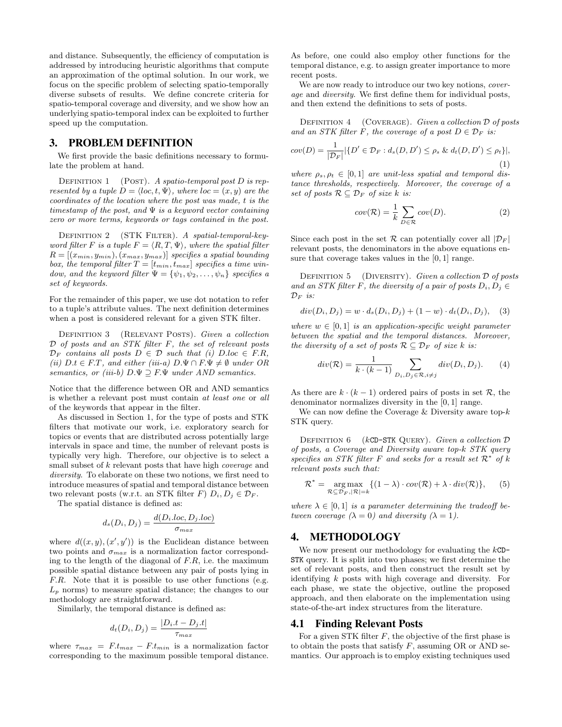and distance. Subsequently, the efficiency of computation is addressed by introducing heuristic algorithms that compute an approximation of the optimal solution. In our work, we focus on the specific problem of selecting spatio-temporally diverse subsets of results. We define concrete criteria for spatio-temporal coverage and diversity, and we show how an underlying spatio-temporal index can be exploited to further speed up the computation.

## 3. PROBLEM DEFINITION

We first provide the basic definitions necessary to formulate the problem at hand.

DEFINITION 1 (POST). A spatio-temporal post  $D$  is represented by a tuple  $D = \langle loc, t, \Psi \rangle$ , where  $loc = (x, y)$  are the coordinates of the location where the post was made, t is the timestamp of the post, and  $\Psi$  is a keyword vector containing zero or more terms, keywords or tags contained in the post.

DEFINITION 2 (STK FILTER). A spatial-temporal-keyword filter F is a tuple  $F = \langle R, T, \Psi \rangle$ , where the spatial filter  $R = [(x_{min}, y_{min}), (x_{max}, y_{max})]$  specifies a spatial bounding box, the temporal filter  $T = [t_{min}, t_{max}]$  specifies a time window, and the keyword filter  $\Psi = {\psi_1, \psi_2, \dots, \psi_n}$  specifies a set of keywords.

For the remainder of this paper, we use dot notation to refer to a tuple's attribute values. The next definition determines when a post is considered relevant for a given STK filter.

DEFINITION 3 (RELEVANT POSTS). Given a collection  $D$  of posts and an STK filter  $F$ , the set of relevant posts  $\mathcal{D}_F$  contains all posts  $D \in \mathcal{D}$  such that (i)  $D.\text{loc} \in F.R$ , (ii)  $D.t \in F.T$ , and either (iii-a)  $D.\Psi \cap F.\Psi \neq \emptyset$  under OR semantics, or (iii-b)  $D.\Psi \supseteq F.\Psi$  under AND semantics.

Notice that the difference between OR and AND semantics is whether a relevant post must contain at least one or all of the keywords that appear in the filter.

As discussed in Section 1, for the type of posts and STK filters that motivate our work, i.e. exploratory search for topics or events that are distributed across potentially large intervals in space and time, the number of relevant posts is typically very high. Therefore, our objective is to select a small subset of k relevant posts that have high *coverage* and diversity. To elaborate on these two notions, we first need to introduce measures of spatial and temporal distance between two relevant posts (w.r.t. an STK filter F)  $D_i, D_j \in \mathcal{D}_F$ .

The spatial distance is defined as:

$$
d_s(D_i, D_j) = \frac{d(D_i, loc, D_j, loc)}{\sigma_{max}}
$$

where  $d((x, y), (x', y'))$  is the Euclidean distance between two points and  $\sigma_{max}$  is a normalization factor corresponding to the length of the diagonal of  $F.R$ , i.e. the maximum possible spatial distance between any pair of posts lying in F.R. Note that it is possible to use other functions (e.g.  $L_p$  norms) to measure spatial distance; the changes to our methodology are straightforward.

Similarly, the temporal distance is defined as:

$$
d_t(D_i, D_j) = \frac{|D_i.t - D_j.t|}{\tau_{max}}
$$

where  $\tau_{max} = F.t_{max} - F.t_{min}$  is a normalization factor corresponding to the maximum possible temporal distance.

As before, one could also employ other functions for the temporal distance, e.g. to assign greater importance to more recent posts.

We are now ready to introduce our two key notions, *cover*age and diversity. We first define them for individual posts, and then extend the definitions to sets of posts.

DEFINITION  $4$  (COVERAGE). Given a collection  $D$  of posts and an STK filter F, the coverage of a post  $D \in \mathcal{D}_F$  is:

$$
cov(D) = \frac{1}{|\mathcal{D}_F|} |\{D' \in \mathcal{D}_F : d_s(D, D') \le \rho_s \& d_t(D, D') \le \rho_t\}|,
$$
\n(1)

where  $\rho_s, \rho_t \in [0, 1]$  are unit-less spatial and temporal distance thresholds, respectively. Moreover, the coverage of a set of posts  $\mathcal{R} \subseteq \mathcal{D}_F$  of size k is:

$$
cov(\mathcal{R}) = \frac{1}{k} \sum_{D \in \mathcal{R}} cov(D).
$$
 (2)

Since each post in the set R can potentially cover all  $|\mathcal{D}_F|$ relevant posts, the denominators in the above equations ensure that coverage takes values in the [0, 1] range.

DEFINITION 5 (DIVERSITY). Given a collection  $\mathcal D$  of posts and an STK filter F, the diversity of a pair of posts  $D_i, D_j \in$  $\mathcal{D}_F$  is:

$$
div(D_i, D_j) = w \cdot d_s(D_i, D_j) + (1 - w) \cdot d_t(D_i, D_j), \quad (3)
$$

where  $w \in [0, 1]$  is an application-specific weight parameter between the spatial and the temporal distances. Moreover, the diversity of a set of posts  $\mathcal{R} \subseteq \mathcal{D}_F$  of size k is:

$$
div(\mathcal{R}) = \frac{1}{k \cdot (k-1)} \sum_{D_i, D_j \in \mathcal{R}, i \neq j} div(D_i, D_j).
$$
 (4)

As there are  $k \cdot (k-1)$  ordered pairs of posts in set R, the denominator normalizes diversity in the [0, 1] range.

We can now define the Coverage  $\&$  Diversity aware top- $k$ STK query.

DEFINITION  $6$  (kCD-STK QUERY). Given a collection  $D$ of posts, a Coverage and Diversity aware top-k STK query specifies an STK filter F and seeks for a result set  $\mathcal{R}^*$  of k relevant posts such that:

$$
\mathcal{R}^* = \underset{\mathcal{R} \subseteq \mathcal{D}_F, |\mathcal{R}| = k}{\arg \max} \{ (1 - \lambda) \cdot cov(\mathcal{R}) + \lambda \cdot div(\mathcal{R}) \}, \quad (5)
$$

where  $\lambda \in [0, 1]$  is a parameter determining the tradeoff between coverage  $(\lambda = 0)$  and diversity  $(\lambda = 1)$ .

# 4. METHODOLOGY

We now present our methodology for evaluating the  $kCD-$ STK query. It is split into two phases; we first determine the set of relevant posts, and then construct the result set by identifying k posts with high coverage and diversity. For each phase, we state the objective, outline the proposed approach, and then elaborate on the implementation using state-of-the-art index structures from the literature.

## 4.1 Finding Relevant Posts

For a given STK filter  $F$ , the objective of the first phase is to obtain the posts that satisfy  $F$ , assuming OR or AND semantics. Our approach is to employ existing techniques used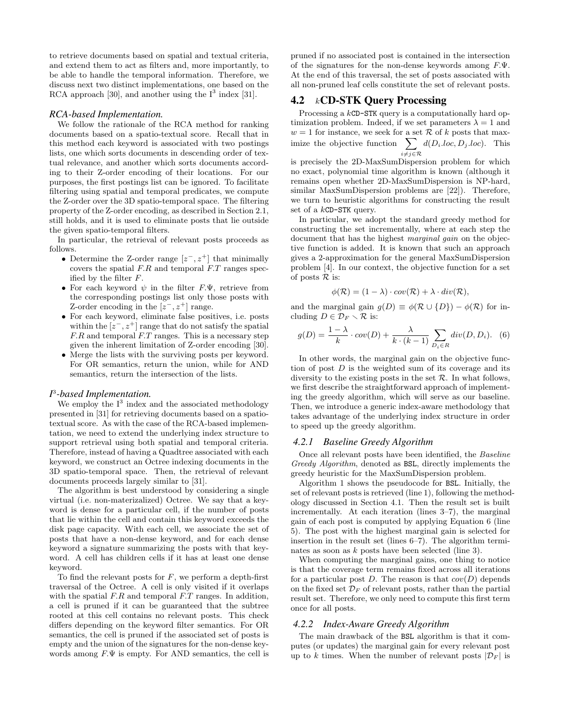to retrieve documents based on spatial and textual criteria, and extend them to act as filters and, more importantly, to be able to handle the temporal information. Therefore, we discuss next two distinct implementations, one based on the RCA approach [30], and another using the  $I<sup>3</sup>$  index [31].

## *RCA-based Implementation.*

We follow the rationale of the RCA method for ranking documents based on a spatio-textual score. Recall that in this method each keyword is associated with two postings lists, one which sorts documents in descending order of textual relevance, and another which sorts documents according to their Z-order encoding of their locations. For our purposes, the first postings list can be ignored. To facilitate filtering using spatial and temporal predicates, we compute the Z-order over the 3D spatio-temporal space. The filtering property of the Z-order encoding, as described in Section 2.1, still holds, and it is used to eliminate posts that lie outside the given spatio-temporal filters.

In particular, the retrieval of relevant posts proceeds as follows.

- Determine the Z-order range  $[z^-, z^+]$  that minimally covers the spatial  $F.R$  and temporal  $F.T$  ranges specified by the filter F.
- For each keyword  $\psi$  in the filter  $F.\Psi$ , retrieve from the corresponding postings list only those posts with Z-order encoding in the  $[z^-, z^+]$  range.
- For each keyword, eliminate false positives, i.e. posts within the  $[z^-, z^+]$  range that do not satisfy the spatial F.R and temporal F.T ranges. This is a necessary step given the inherent limitation of Z-order encoding [30].
- Merge the lists with the surviving posts per keyword. For OR semantics, return the union, while for AND semantics, return the intersection of the lists.

## *I* 3 *-based Implementation.*

We employ the  $I<sup>3</sup>$  index and the associated methodology presented in [31] for retrieving documents based on a spatiotextual score. As with the case of the RCA-based implementation, we need to extend the underlying index structure to support retrieval using both spatial and temporal criteria. Therefore, instead of having a Quadtree associated with each keyword, we construct an Octree indexing documents in the 3D spatio-temporal space. Then, the retrieval of relevant documents proceeds largely similar to [31].

The algorithm is best understood by considering a single virtual (i.e. non-materizalized) Octree. We say that a keyword is dense for a particular cell, if the number of posts that lie within the cell and contain this keyword exceeds the disk page capacity. With each cell, we associate the set of posts that have a non-dense keyword, and for each dense keyword a signature summarizing the posts with that keyword. A cell has children cells if it has at least one dense keyword.

To find the relevant posts for  $F$ , we perform a depth-first traversal of the Octree. A cell is only visited if it overlaps with the spatial  $F.R$  and temporal  $F.T$  ranges. In addition, a cell is pruned if it can be guaranteed that the subtree rooted at this cell contains no relevant posts. This check differs depending on the keyword filter semantics. For OR semantics, the cell is pruned if the associated set of posts is empty and the union of the signatures for the non-dense keywords among  $F.\Psi$  is empty. For AND semantics, the cell is pruned if no associated post is contained in the intersection of the signatures for the non-dense keywords among  $F.\Psi$ . At the end of this traversal, the set of posts associated with all non-pruned leaf cells constitute the set of relevant posts.

# 4.2 kCD-STK Query Processing

Processing a kCD-STK query is a computationally hard optimization problem. Indeed, if we set parameters  $\lambda = 1$  and  $w = 1$  for instance, we seek for a set R of k posts that maximize the objective function  $\sum d(D_i loc, D_j loc)$ . This  $i \neq j \in \mathcal{R}$ 

is precisely the 2D-MaxSumDispersion problem for which no exact, polynomial time algorithm is known (although it remains open whether 2D-MaxSumDispersion is NP-hard, similar MaxSumDispersion problems are [22]). Therefore, we turn to heuristic algorithms for constructing the result set of a kCD-STK query.

In particular, we adopt the standard greedy method for constructing the set incrementally, where at each step the document that has the highest *marginal gain* on the objective function is added. It is known that such an approach gives a 2-approximation for the general MaxSumDispersion problem [4]. In our context, the objective function for a set of posts  $\mathcal R$  is:

$$
\phi(\mathcal{R}) = (1 - \lambda) \cdot cov(\mathcal{R}) + \lambda \cdot div(\mathcal{R}),
$$

and the marginal gain  $g(D) \equiv \phi(\mathcal{R} \cup \{D\}) - \phi(\mathcal{R})$  for including  $D \in \mathcal{D}_F \setminus \mathcal{R}$  is:

$$
g(D) = \frac{1 - \lambda}{k} \cdot cov(D) + \frac{\lambda}{k \cdot (k-1)} \sum_{D_i \in R} div(D, D_i). \tag{6}
$$

In other words, the marginal gain on the objective function of post  $D$  is the weighted sum of its coverage and its diversity to the existing posts in the set  $\mathcal{R}$ . In what follows, we first describe the straightforward approach of implementing the greedy algorithm, which will serve as our baseline. Then, we introduce a generic index-aware methodology that takes advantage of the underlying index structure in order to speed up the greedy algorithm.

#### *4.2.1 Baseline Greedy Algorithm*

Once all relevant posts have been identified, the Baseline Greedy Algorithm, denoted as BSL, directly implements the greedy heuristic for the MaxSumDispersion problem.

Algorithm 1 shows the pseudocode for BSL. Initially, the set of relevant posts is retrieved (line 1), following the methodology discussed in Section 4.1. Then the result set is built incrementally. At each iteration (lines 3–7), the marginal gain of each post is computed by applying Equation 6 (line 5). The post with the highest marginal gain is selected for insertion in the result set (lines 6–7). The algorithm terminates as soon as k posts have been selected (line 3).

When computing the marginal gains, one thing to notice is that the coverage term remains fixed across all iterations for a particular post D. The reason is that  $cov(D)$  depends on the fixed set  $\mathcal{D}_F$  of relevant posts, rather than the partial result set. Therefore, we only need to compute this first term once for all posts.

#### *4.2.2 Index-Aware Greedy Algorithm*

The main drawback of the BSL algorithm is that it computes (or updates) the marginal gain for every relevant post up to k times. When the number of relevant posts  $|\mathcal{D}_F|$  is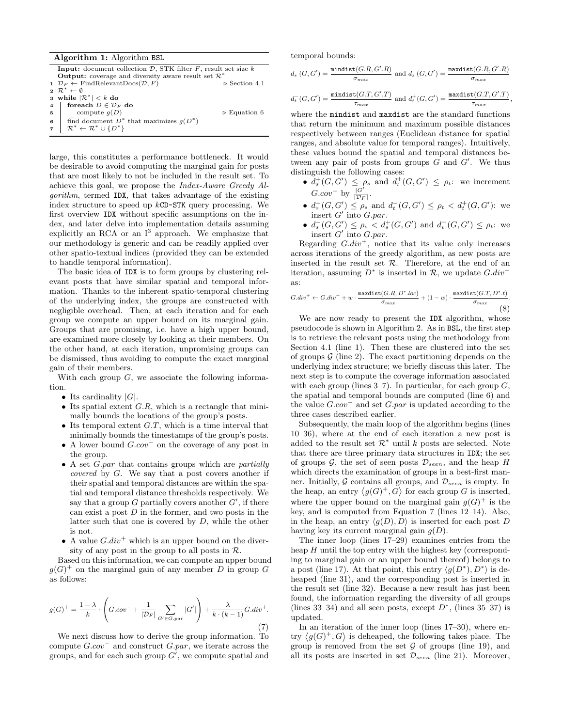Algorithm 1: Algorithm BSL Input: document collection  $D$ , STK filter  $F$ , result set size  $k$ **Output:** coverage and diversity aware result set  $\mathcal{R}^*$ <br> $\mathcal{D}_F \leftarrow$  FindRelevantDocs( $\mathcal{D}, F$ ) > Section 4.1 1  $\mathcal{D}_F \leftarrow$  FindRelevant $\text{Docs}(\mathcal{D}, F)$   $\triangleright$  Section 4.1<br>2  $\mathcal{R}^* \leftarrow \emptyset$ 3 while  $|\mathcal{R}^*| < k$  do 4 foreach  $D \in \mathcal{D}_F$  do  $\mathfrak{s}$  | compute  $g(D)$   $\triangleright$  Equation 6 6 find document  $D^*$  that maximizes  $g(D^*)$  $\tau \mid \mathcal{R}^* \leftarrow \mathcal{R}^* \cup \{D^*\}$ 

large, this constitutes a performance bottleneck. It would be desirable to avoid computing the marginal gain for posts that are most likely to not be included in the result set. To achieve this goal, we propose the Index-Aware Greedy Algorithm, termed IDX, that takes advantage of the existing index structure to speed up kCD-STK query processing. We first overview IDX without specific assumptions on the index, and later delve into implementation details assuming explicitly an RCA or an  $I^3$  approach. We emphasize that our methodology is generic and can be readily applied over other spatio-textual indices (provided they can be extended to handle temporal information).

The basic idea of IDX is to form groups by clustering relevant posts that have similar spatial and temporal information. Thanks to the inherent spatio-temporal clustering of the underlying index, the groups are constructed with negligible overhead. Then, at each iteration and for each group we compute an upper bound on its marginal gain. Groups that are promising, i.e. have a high upper bound, are examined more closely by looking at their members. On the other hand, at each iteration, unpromising groups can be dismissed, thus avoiding to compute the exact marginal gain of their members.

With each group  $G$ , we associate the following information.

- Its cardinality  $|G|$ .
- Its spatial extent  $G.R$ , which is a rectangle that minimally bounds the locations of the group's posts.
- Its temporal extent  $G.T$ , which is a time interval that minimally bounds the timestamps of the group's posts.
- A lower bound G.cov<sup>−</sup> on the coverage of any post in the group.
- A set G.par that contains groups which are partially covered by G. We say that a post covers another if their spatial and temporal distances are within the spatial and temporal distance thresholds respectively. We say that a group G partially covers another  $G'$ , if there can exist a post  $D$  in the former, and two posts in the latter such that one is covered by  $D$ , while the other is not.
- A value  $G.div^+$  which is an upper bound on the diversity of any post in the group to all posts in  $\mathcal{R}$ .

Based on this information, we can compute an upper bound  $g(G)^+$  on the marginal gain of any member D in group G as follows:

$$
g(G)^{+} = \frac{1-\lambda}{k} \cdot \left( G_{\cdot}cov^{-} + \frac{1}{|\mathcal{D}_F|} \sum_{G' \in G_{\cdot}par} |G'| \right) + \frac{\lambda}{k \cdot (k-1)} G_{\cdot}div^{+}.
$$
\n(7)

We next discuss how to derive the group information. To compute  $G.cov^-$  and construct  $Gpar$ , we iterate across the groups, and for each such group  $G'$ , we compute spatial and

temporal bounds:

$$
d_s^-(G, G') = \frac{\text{mindist}(G.R, G'.R)}{\sigma_{max}} \text{ and } d_s^+(G, G') = \frac{\text{maxdist}(G.R, G'.R)}{\sigma_{max}}
$$

$$
d_t^-(G, G') = \frac{\text{mindist}(G.T, G'.T)}{\tau_{max}} \text{ and } d_t^+(G, G') = \frac{\text{maxdist}(G.T, G'.T)}{\tau_{max}},
$$

where the mindist and maxdist are the standard functions that return the minimum and maximum possible distances respectively between ranges (Euclidean distance for spatial ranges, and absolute value for temporal ranges). Intuitively, these values bound the spatial and temporal distances between any pair of posts from groups  $\tilde{G}$  and  $G'$ . We thus distinguish the following cases:

- $d_s^+(G, G') \leq \rho_s$  and  $d_t^+(G, G') \leq \rho_t$ : we increment  $G.cov^-$  by  $\frac{|G'|}{|\mathcal{D}_F|}$ .
- $d_s^-(G, G') \leq \rho_s$  and  $d_t^-(G, G') \leq \rho_t < d_t^+(G, G')$ : we insert  $G'$  into  $G-par$ .
- $d_s^-(G, G') \leq \rho_s < d_s^+(G, G')$  and  $d_t^-(G, G') \leq \rho_t$ : we insert  $G'$  into  $G.par$ .

Regarding  $G.div^+$ , notice that its value only increases across iterations of the greedy algorithm, as new posts are inserted in the result set  $R$ . Therefore, at the end of an iteration, assuming  $D^*$  is inserted in  $\mathcal{R}$ , we update  $G.div^+$ as:

$$
G.div^{+} \leftarrow G.div^{+} + w \cdot \frac{\maxdist(G.R, D^{*}.loc)}{\sigma_{max}} + (1-w) \cdot \frac{\maxdist(G.T, D^{*}.t)}{\sigma_{max}}.
$$
\n(8)

We are now ready to present the IDX algorithm, whose pseudocode is shown in Algorithm 2. As in BSL, the first step is to retrieve the relevant posts using the methodology from Section 4.1 (line 1). Then these are clustered into the set of groups  $\mathcal G$  (line 2). The exact partitioning depends on the underlying index structure; we briefly discuss this later. The next step is to compute the coverage information associated with each group (lines  $3-7$ ). In particular, for each group G, the spatial and temporal bounds are computed (line 6) and the value  $G.cov^-$  and set  $G.par$  is updated according to the three cases described earlier.

Subsequently, the main loop of the algorithm begins (lines 10–36), where at the end of each iteration a new post is added to the result set  $\mathcal{R}^*$  until k posts are selected. Note that there are three primary data structures in IDX; the set of groups  $\mathcal{G}$ , the set of seen posts  $\mathcal{D}_{seen}$ , and the heap H which directs the examination of groups in a best-first manner. Initially, G contains all groups, and  $\mathcal{D}_{seen}$  is empty. In the heap, an entry  $\langle g(G)^+, G \rangle$  for each group G is inserted, where the upper bound on the marginal gain  $g(G)^+$  is the key, and is computed from Equation 7 (lines 12–14). Also, in the heap, an entry  $\langle g(D), D \rangle$  is inserted for each post D having key its current marginal gain  $g(D)$ .

The inner loop (lines 17–29) examines entries from the heap  $H$  until the top entry with the highest key (corresponding to marginal gain or an upper bound thereof) belongs to a post (line 17). At that point, this entry  $\langle g(D^*), D^* \rangle$  is deheaped (line 31), and the corresponding post is inserted in the result set (line 32). Because a new result has just been found, the information regarding the diversity of all groups (lines 33–34) and all seen posts, except  $D^*$ , (lines 35–37) is updated.

In an iteration of the inner loop (lines 17–30), where entry  $\langle g(G)^+, G \rangle$  is deheaped, the following takes place. The group is removed from the set  $G$  of groups (line 19), and all its posts are inserted in set  $\mathcal{D}_{seen}$  (line 21). Moreover,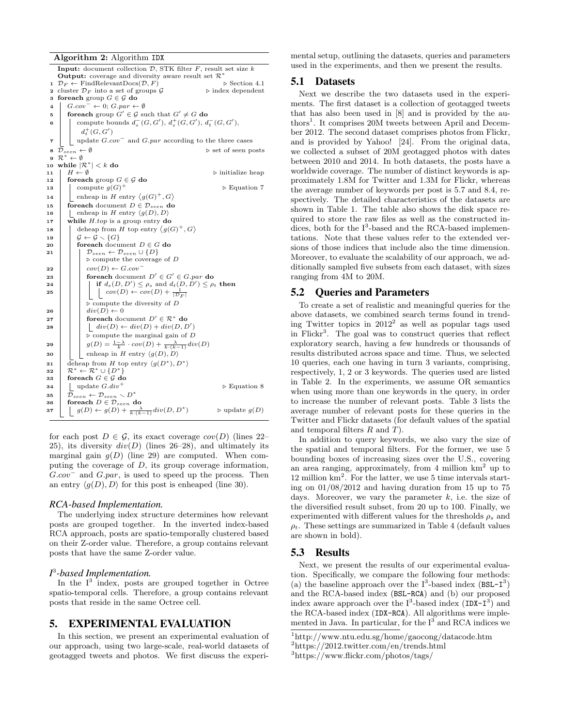Algorithm 2: Algorithm IDX

|                         | <b>Input:</b> document collection $D$ , STK filter $F$ , result set size $k$<br><b>Output:</b> coverage and diversity aware result set $\mathcal{R}^*$ |  |  |  |  |  |  |  |
|-------------------------|--------------------------------------------------------------------------------------------------------------------------------------------------------|--|--|--|--|--|--|--|
|                         | $1 \mathcal{D}_F \leftarrow$ FindRelevant $\text{Docs}(\mathcal{D}, F)$<br>$\triangleright$ Section 4.1                                                |  |  |  |  |  |  |  |
|                         | 2 cluster $\mathcal{D}_F$ into a set of groups $\mathcal G$<br>$\triangleright$ index dependent                                                        |  |  |  |  |  |  |  |
| 3                       | foreach group $G \in \mathcal{G}$ do                                                                                                                   |  |  |  |  |  |  |  |
| 4                       | $G.cov^- \leftarrow 0$ ; $Gpar \leftarrow \emptyset$                                                                                                   |  |  |  |  |  |  |  |
| 5                       | for each group $G' \in \mathcal{G}$ such that $G' \neq G$ do                                                                                           |  |  |  |  |  |  |  |
| 6                       | compute bounds $d_s^-(G, G'), d_s^+(G, G'), d_t^-(G, G'),$                                                                                             |  |  |  |  |  |  |  |
|                         | $d_{t}^{+}(G, G')$                                                                                                                                     |  |  |  |  |  |  |  |
| $\overline{\mathbf{r}}$ | update $G.cov^-$ and $G.par$ according to the three cases                                                                                              |  |  |  |  |  |  |  |
| 8                       | $\triangleright$ set of seen posts<br>$\mathcal{D}_{seen} \leftarrow \emptyset$                                                                        |  |  |  |  |  |  |  |
| 9                       | $\mathcal{R}^* \leftarrow \emptyset$                                                                                                                   |  |  |  |  |  |  |  |
| 10                      | while $ \mathcal{R}^*  < k$ do                                                                                                                         |  |  |  |  |  |  |  |
| 11                      | $H \leftarrow \emptyset$<br>$\triangleright$ initialize heap                                                                                           |  |  |  |  |  |  |  |
| 12                      | foreach group $G \in \mathcal{G}$ do                                                                                                                   |  |  |  |  |  |  |  |
| 13                      | compute $q(G)^+$<br>$\triangleright$ Equation 7                                                                                                        |  |  |  |  |  |  |  |
| 14                      | enheap in H entry $\langle g(G)^+, G \rangle$                                                                                                          |  |  |  |  |  |  |  |
| 15                      | <b>foreach</b> document $D \in \mathcal{D}_{seen}$ do                                                                                                  |  |  |  |  |  |  |  |
| 16                      | enheap in H entry $\langle g(D), D \rangle$                                                                                                            |  |  |  |  |  |  |  |
| 17                      | while $H.top$ is a group entry do                                                                                                                      |  |  |  |  |  |  |  |
| 18                      | deheap from H top entry $\langle g(G)^+, G \rangle$                                                                                                    |  |  |  |  |  |  |  |
| 19                      | $\mathcal{G} \leftarrow \mathcal{G} \setminus \{G\}$                                                                                                   |  |  |  |  |  |  |  |
| 20                      | for each document $D \in G$ do                                                                                                                         |  |  |  |  |  |  |  |
| 21                      | $\mathcal{D}_{seen} \leftarrow \mathcal{D}_{seen} \cup \{D\}$                                                                                          |  |  |  |  |  |  |  |
|                         | $\triangleright$ compute the coverage of D                                                                                                             |  |  |  |  |  |  |  |
| 22                      | $cov(D) \leftarrow Gcov^{-}$                                                                                                                           |  |  |  |  |  |  |  |
| 23                      | foreach document $D' \in G' \in G$ par do                                                                                                              |  |  |  |  |  |  |  |
| 24                      | if $d_s(D, D') \leq \rho_s$ and $d_t(D, D') \leq \rho_t$ then                                                                                          |  |  |  |  |  |  |  |
| 25                      | $cov(D) \leftarrow cov(D) + \frac{1}{ \mathcal{D}_F }$                                                                                                 |  |  |  |  |  |  |  |
|                         | $\triangleright$ compute the diversity of D                                                                                                            |  |  |  |  |  |  |  |
| 26                      | $div(D) \leftarrow 0$                                                                                                                                  |  |  |  |  |  |  |  |
| 27                      | for each document $D' \in \mathcal{R}^*$ do                                                                                                            |  |  |  |  |  |  |  |
| 28                      | $\int div(D) \leftarrow div(D) + div(D, D')$                                                                                                           |  |  |  |  |  |  |  |
|                         | $\triangleright$ compute the marginal gain of D                                                                                                        |  |  |  |  |  |  |  |
| 29                      | $g(D) = \frac{1-\lambda}{k} \cdot cov(D) + \frac{\lambda}{k \cdot (k-1)} div(D)$                                                                       |  |  |  |  |  |  |  |
| 30                      | enheap in H entry $\langle q(D), D \rangle$                                                                                                            |  |  |  |  |  |  |  |
| 31                      | deheap from H top entry $\langle g(D^*), D^* \rangle$                                                                                                  |  |  |  |  |  |  |  |
| 32                      | $\mathcal{R}^* \leftarrow \mathcal{R}^* \cup \{D^*\}$                                                                                                  |  |  |  |  |  |  |  |
| 33                      | foreach $G \in \mathcal{G}$ do                                                                                                                         |  |  |  |  |  |  |  |
| 34                      | update $G.div^+$<br>$\triangleright$ Equation 8                                                                                                        |  |  |  |  |  |  |  |
| 35                      | $\mathcal{D}_{seen} \leftarrow \mathcal{D}_{seen} \setminus D^*$                                                                                       |  |  |  |  |  |  |  |
| 36                      | foreach $D \in \mathcal{D}_{seen}$ do                                                                                                                  |  |  |  |  |  |  |  |
| 37                      | $g(D) \leftarrow g(D) + \frac{\lambda}{k \cdot (k-1)} div(D, D^*)$<br>$\triangleright$ update $q(D)$                                                   |  |  |  |  |  |  |  |

for each post  $D \in \mathcal{G}$ , its exact coverage  $cov(D)$  (lines 22– 25), its diversity  $div(D)$  (lines 26–28), and ultimately its marginal gain  $q(D)$  (line 29) are computed. When computing the coverage of  $D$ , its group coverage information,  $G.cov^-$  and  $G.par$ , is used to speed up the process. Then an entry  $\langle g(D), D \rangle$  for this post is enheaped (line 30).

#### *RCA-based Implementation.*

The underlying index structure determines how relevant posts are grouped together. In the inverted index-based RCA approach, posts are spatio-temporally clustered based on their Z-order value. Therefore, a group contains relevant posts that have the same Z-order value.

## *I* 3 *-based Implementation.*

In the  $I^3$  index, posts are grouped together in Octree spatio-temporal cells. Therefore, a group contains relevant posts that reside in the same Octree cell.

## 5. EXPERIMENTAL EVALUATION

In this section, we present an experimental evaluation of our approach, using two large-scale, real-world datasets of geotagged tweets and photos. We first discuss the experimental setup, outlining the datasets, queries and parameters used in the experiments, and then we present the results.

## 5.1 Datasets

Next we describe the two datasets used in the experiments. The first dataset is a collection of geotagged tweets that has also been used in [8] and is provided by the authors<sup>1</sup>. It comprises 20M tweets between April and December 2012. The second dataset comprises photos from Flickr, and is provided by Yahoo! [24]. From the original data, we collected a subset of 20M geotagged photos with dates between 2010 and 2014. In both datasets, the posts have a worldwide coverage. The number of distinct keywords is approximately 1.8M for Twitter and 1.3M for Flickr, whereas the average number of keywords per post is 5.7 and 8.4, respectively. The detailed characteristics of the datasets are shown in Table 1. The table also shows the disk space required to store the raw files as well as the constructed indices, both for the  $I^3$ -based and the RCA-based implementations. Note that these values refer to the extended versions of those indices that include also the time dimension. Moreover, to evaluate the scalability of our approach, we additionally sampled five subsets from each dataset, with sizes ranging from 4M to 20M.

## 5.2 Queries and Parameters

To create a set of realistic and meaningful queries for the above datasets, we combined search terms found in trending Twitter topics in  $2012^2$  as well as popular tags used in Flickr<sup>3</sup>. The goal was to construct queries that reflect exploratory search, having a few hundreds or thousands of results distributed across space and time. Thus, we selected 10 queries, each one having in turn 3 variants, comprising, respectively, 1, 2 or 3 keywords. The queries used are listed in Table 2. In the experiments, we assume OR semantics when using more than one keywords in the query, in order to increase the number of relevant posts. Table 3 lists the average number of relevant posts for these queries in the Twitter and Flickr datasets (for default values of the spatial and temporal filters  $R$  and  $T$ ).

In addition to query keywords, we also vary the size of the spatial and temporal filters. For the former, we use 5 bounding boxes of increasing sizes over the U.S., covering an area ranging, approximately, from 4 million  $km<sup>2</sup>$  up to 12 million km<sup>2</sup> . For the latter, we use 5 time intervals starting on 01/08/2012 and having duration from 15 up to 75 days. Moreover, we vary the parameter  $k$ , i.e. the size of the diversified result subset, from 20 up to 100. Finally, we experimented with different values for the thresholds  $\rho_s$  and  $\rho_t$ . These settings are summarized in Table 4 (default values are shown in bold).

### 5.3 Results

Next, we present the results of our experimental evaluation. Specifically, we compare the following four methods: (a) the baseline approach over the  $I^3$ -based index (BSL- $I^3$ ) and the RCA-based index (BSL-RCA) and (b) our proposed index aware approach over the  $I^3$ -based index  $(IDX-I^3)$  and the RCA-based index (IDX-RCA). All algorithms were implemented in Java. In particular, for the  $I<sup>3</sup>$  and RCA indices we

<sup>1</sup>http://www.ntu.edu.sg/home/gaocong/datacode.htm

<sup>2</sup>https://2012.twitter.com/en/trends.html

<sup>3</sup>https://www.flickr.com/photos/tags/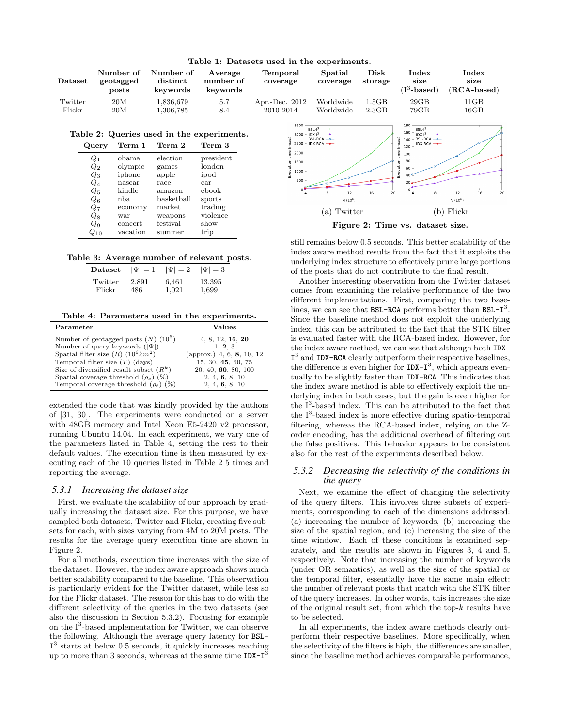| rable 1: Datasets used in the experiments. |                                 |                                   |                                  |                               |                        |                            |                                 |                                |
|--------------------------------------------|---------------------------------|-----------------------------------|----------------------------------|-------------------------------|------------------------|----------------------------|---------------------------------|--------------------------------|
| Dataset                                    | Number of<br>geotagged<br>posts | Number of<br>distinct<br>kevwords | Average<br>number of<br>keywords | Temporal<br>coverage          | Spatial<br>coverage    | $_{\rm Disk}$<br>storage   | Index<br>size<br>$(I^3$ -based) | Index<br>size<br>$(RCA-based)$ |
| Twitter<br>Flickr                          | 20M<br>20M                      | 1.836.679<br>1,306,785            | 5.7<br>8.4                       | Apr.-Dec. $2012$<br>2010-2014 | Worldwide<br>Worldwide | l.5GB<br>2.3 <sub>GB</sub> | 29GB<br>79GB                    | 11GB<br>$16\mathrm{GB}$        |

Table 1: Datasets used in the experiments.

#### Table 2: Queries used in the experiments.

| Query           | Term 1   | Term 2     | Term 3    |
|-----------------|----------|------------|-----------|
| $Q_1$           | obama    | election   | president |
| $\mathcal{Q}_2$ | olympic  | games      | london    |
| Qз              | iphone   | apple      | ipod      |
| Q4              | nascar   | race       | car       |
| $Q_5$           | kindle   | amazon     | ebook     |
| $Q_6$           | nba.     | basketball | sports    |
| Q7              | economy  | market     | trading   |
| Qя              | war      | weapons    | violence  |
| Q9              | concert  | festival   | show      |
|                 | vacation | summer     | trip      |

|  | Table 3: Average number of relevant posts. |  |  |  |  |
|--|--------------------------------------------|--|--|--|--|
|--|--------------------------------------------|--|--|--|--|

| Dataset | $ \Psi =1$ | $ \Psi =2$ | $ \Psi =3$ |
|---------|------------|------------|------------|
| Twitter | 2,891      | 6,461      | 13,395     |
| Flickr  | 486        | 1.021      | 1,699      |

|  |  |  |  |  | Table 4: Parameters used in the experiments. |
|--|--|--|--|--|----------------------------------------------|
|--|--|--|--|--|----------------------------------------------|

| Parameter                                  | Values                    |
|--------------------------------------------|---------------------------|
| Number of geotagged posts $(N)$ $(10^6)$   | 4, 8, 12, 16, 20          |
| Number of query keywords $( \Psi )$        | 1, 2, 3                   |
| Spatial filter size $(R)$ $(10^6 km^2)$    | (approx.) 4, 6, 8, 10, 12 |
| Temporal filter size $(T)$ (days)          | 15, 30, 45, 60, 75        |
| Size of diversified result subset $(R^k)$  | 20, 40, 60, 80, 100       |
| Spatial coverage threshold $(\rho_s)$ (%)  | 2, 4, 6, 8, 10            |
| Temporal coverage threshold $(\rho_t)$ (%) | 2, 4, 6, 8, 10            |

extended the code that was kindly provided by the authors of [31, 30]. The experiments were conducted on a server with 48GB memory and Intel Xeon E5-2420 v2 processor, running Ubuntu 14.04. In each experiment, we vary one of the parameters listed in Table 4, setting the rest to their default values. The execution time is then measured by executing each of the 10 queries listed in Table 2 5 times and reporting the average.

## *5.3.1 Increasing the dataset size*

First, we evaluate the scalability of our approach by gradually increasing the dataset size. For this purpose, we have sampled both datasets, Twitter and Flickr, creating five subsets for each, with sizes varying from 4M to 20M posts. The results for the average query execution time are shown in Figure 2.

For all methods, execution time increases with the size of the dataset. However, the index aware approach shows much better scalability compared to the baseline. This observation is particularly evident for the Twitter dataset, while less so for the Flickr dataset. The reason for this has to do with the different selectivity of the queries in the two datasets (see also the discussion in Section 5.3.2). Focusing for example on the  $I^3$ -based implementation for Twitter, we can observe the following. Although the average query latency for BSL-I<sup>3</sup> starts at below 0.5 seconds, it quickly increases reaching up to more than 3 seconds, whereas at the same time  $IDX-I<sup>3</sup>$ 



still remains below 0.5 seconds. This better scalability of the index aware method results from the fact that it exploits the underlying index structure to effectively prune large portions of the posts that do not contribute to the final result.

Another interesting observation from the Twitter dataset comes from examining the relative performance of the two different implementations. First, comparing the two baselines, we can see that BSL-RCA performs better than  $BSL-T^3$ . Since the baseline method does not exploit the underlying index, this can be attributed to the fact that the STK filter is evaluated faster with the RCA-based index. However, for the index aware method, we can see that although both IDX-I<sup>3</sup> and IDX-RCA clearly outperform their respective baselines, the difference is even higher for  $IDX-I^3$ , which appears eventually to be slightly faster than IDX-RCA. This indicates that the index aware method is able to effectively exploit the underlying index in both cases, but the gain is even higher for the I<sup>3</sup>-based index. This can be attributed to the fact that the  $I<sup>3</sup>$ -based index is more effective during spatio-temporal filtering, whereas the RCA-based index, relying on the Zorder encoding, has the additional overhead of filtering out the false positives. This behavior appears to be consistent also for the rest of the experiments described below.

## *5.3.2 Decreasing the selectivity of the conditions in the query*

Next, we examine the effect of changing the selectivity of the query filters. This involves three subsets of experiments, corresponding to each of the dimensions addressed: (a) increasing the number of keywords, (b) increasing the size of the spatial region, and (c) increasing the size of the time window. Each of these conditions is examined separately, and the results are shown in Figures 3, 4 and 5, respectively. Note that increasing the number of keywords (under OR semantics), as well as the size of the spatial or the temporal filter, essentially have the same main effect: the number of relevant posts that match with the STK filter of the query increases. In other words, this increases the size of the original result set, from which the top- $k$  results have to be selected.

In all experiments, the index aware methods clearly outperform their respective baselines. More specifically, when the selectivity of the filters is high, the differences are smaller, since the baseline method achieves comparable performance,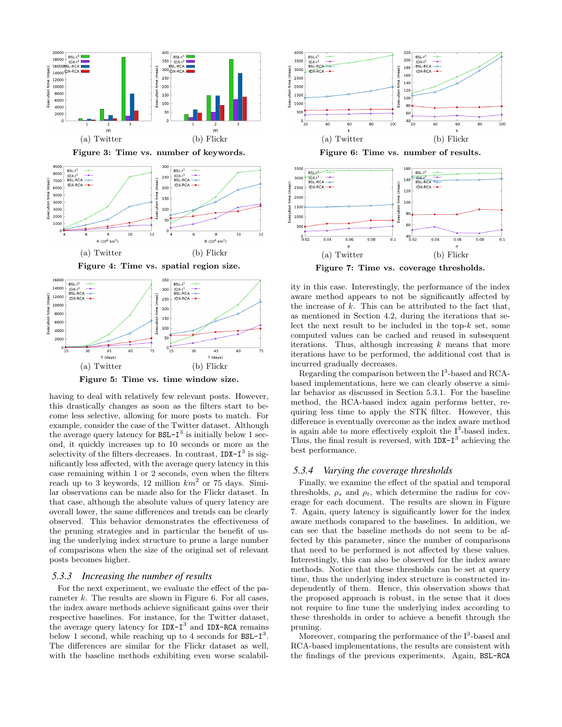

Figure 5: Time vs. time window size.

having to deal with relatively few relevant posts. However, this drastically changes as soon as the filters start to become less selective, allowing for more posts to match. For example, consider the case of the Twitter dataset. Although the average query latency for  $BSL-I^3$  is initially below 1 second, it quickly increases up to 10 seconds or more as the selectivity of the filters decreases. In contrast,  $IDX-T^3$  is significantly less affected, with the average query latency in this case remaining within 1 or 2 seconds, even when the filters reach up to 3 keywords, 12 million  $km^2$  or 75 days. Similar observations can be made also for the Flickr dataset. In that case, although the absolute values of query latency are overall lower, the same differences and trends can be clearly observed. This behavior demonstrates the effectiveness of the pruning strategies and in particular the benefit of using the underlying index structure to prune a large number of comparisons when the size of the original set of relevant posts becomes higher.

## *5.3.3 Increasing the number of results*

For the next experiment, we evaluate the effect of the parameter k. The results are shown in Figure 6. For all cases, the index aware methods achieve significant gains over their respective baselines. For instance, for the Twitter dataset, the average query latency for IDX-I<sup>3</sup> and IDX-RCA remains below 1 second, while reaching up to 4 seconds for  $BSL-T^3$ . The differences are similar for the Flickr dataset as well, with the baseline methods exhibiting even worse scalabil-



(a) Twitter (b) Flickr Figure 7: Time vs. coverage thresholds.

ity in this case. Interestingly, the performance of the index aware method appears to not be significantly affected by the increase of  $k$ . This can be attributed to the fact that, as mentioned in Section 4.2, during the iterations that select the next result to be included in the top- $k$  set, some computed values can be cached and reused in subsequent iterations. Thus, although increasing  $k$  means that more iterations have to be performed, the additional cost that is incurred gradually decreases.

Regarding the comparison between the  $I^3$ -based and RCAbased implementations, here we can clearly observe a similar behavior as discussed in Section 5.3.1. For the baseline method, the RCA-based index again performs better, requiring less time to apply the STK filter. However, this difference is eventually overcome as the index aware method is again able to more effectively exploit the  $I^3$ -based index. Thus, the final result is reversed, with  $IDX-I^3$  achieving the best performance.

#### *5.3.4 Varying the coverage thresholds*

Finally, we examine the effect of the spatial and temporal thresholds,  $\rho_s$  and  $\rho_t$ , which determine the radius for coverage for each document. The results are shown in Figure 7. Again, query latency is significantly lower for the index aware methods compared to the baselines. In addition, we can see that the baseline methods do not seem to be affected by this parameter, since the number of comparisons that need to be performed is not affected by these values. Interestingly, this can also be observed for the index aware methods. Notice that these thresholds can be set at query time, thus the underlying index structure is constructed independently of them. Hence, this observation shows that the proposed approach is robust, in the sense that it does not require to fine tune the underlying index according to these thresholds in order to achieve a benefit through the pruning.

Moreover, comparing the performance of the  $I^3$ -based and RCA-based implementations, the results are consistent with the findings of the previous experiments. Again, BSL-RCA